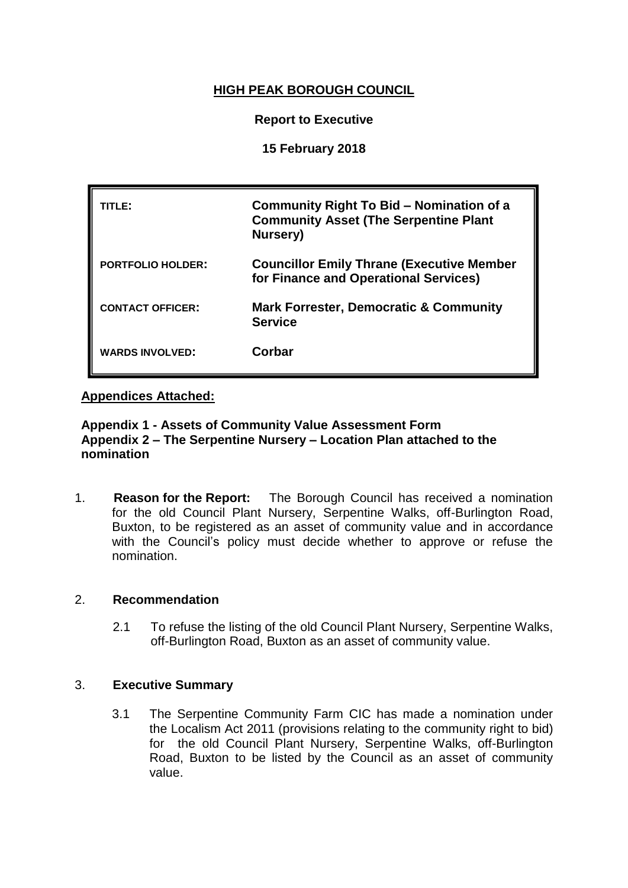# **HIGH PEAK BOROUGH COUNCIL**

## **Report to Executive**

## **15 February 2018**

| TITLE:                   | Community Right To Bid – Nomination of a<br><b>Community Asset (The Serpentine Plant</b><br>Nursery) |
|--------------------------|------------------------------------------------------------------------------------------------------|
| <b>PORTFOLIO HOLDER:</b> | <b>Councillor Emily Thrane (Executive Member</b><br>for Finance and Operational Services)            |
| <b>CONTACT OFFICER:</b>  | <b>Mark Forrester, Democratic &amp; Community</b><br><b>Service</b>                                  |
| <b>WARDS INVOLVED:</b>   | Corbar                                                                                               |

## **Appendices Attached:**

## **Appendix 1 - Assets of Community Value Assessment Form Appendix 2 – The Serpentine Nursery – Location Plan attached to the nomination**

1. **Reason for the Report:** The Borough Council has received a nomination for the old Council Plant Nursery, Serpentine Walks, off-Burlington Road, Buxton, to be registered as an asset of community value and in accordance with the Council's policy must decide whether to approve or refuse the nomination.

## 2. **Recommendation**

2.1 To refuse the listing of the old Council Plant Nursery, Serpentine Walks, off-Burlington Road, Buxton as an asset of community value.

## 3. **Executive Summary**

3.1 The Serpentine Community Farm CIC has made a nomination under the Localism Act 2011 (provisions relating to the community right to bid) for the old Council Plant Nursery, Serpentine Walks, off-Burlington Road, Buxton to be listed by the Council as an asset of community value.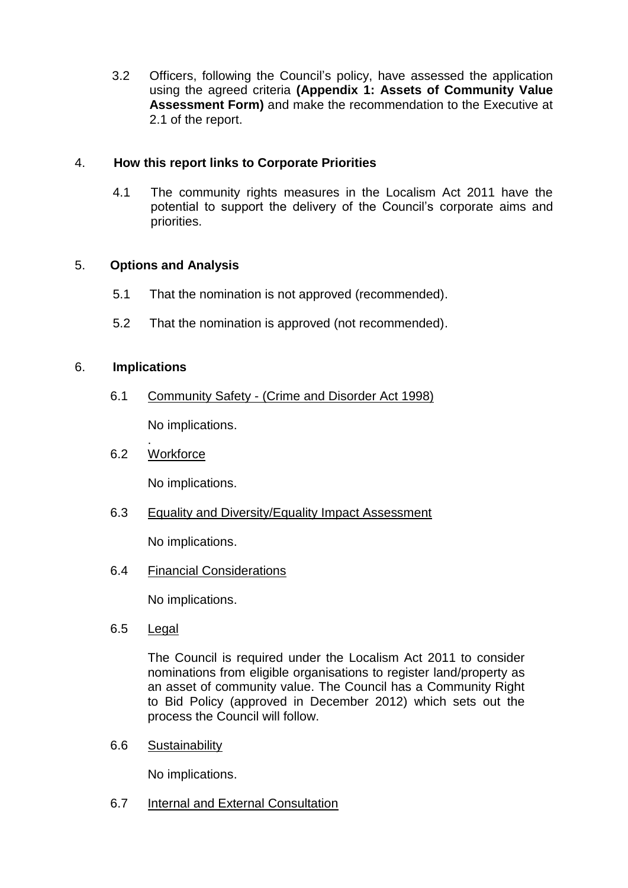3.2 Officers, following the Council's policy, have assessed the application using the agreed criteria **(Appendix 1: Assets of Community Value Assessment Form)** and make the recommendation to the Executive at 2.1 of the report.

## 4. **How this report links to Corporate Priorities**

4.1 The community rights measures in the Localism Act 2011 have the potential to support the delivery of the Council's corporate aims and priorities.

## 5. **Options and Analysis**

- 5.1 That the nomination is not approved (recommended).
- 5.2 That the nomination is approved (not recommended).

## 6. **Implications**

6.1 Community Safety - (Crime and Disorder Act 1998)

No implications.

## 6.2 Workforce

.

No implications.

6.3 Equality and Diversity/Equality Impact Assessment

No implications.

6.4 Financial Considerations

No implications.

6.5 Legal

The Council is required under the Localism Act 2011 to consider nominations from eligible organisations to register land/property as an asset of community value. The Council has a Community Right to Bid Policy (approved in December 2012) which sets out the process the Council will follow.

6.6 Sustainability

No implications.

6.7 Internal and External Consultation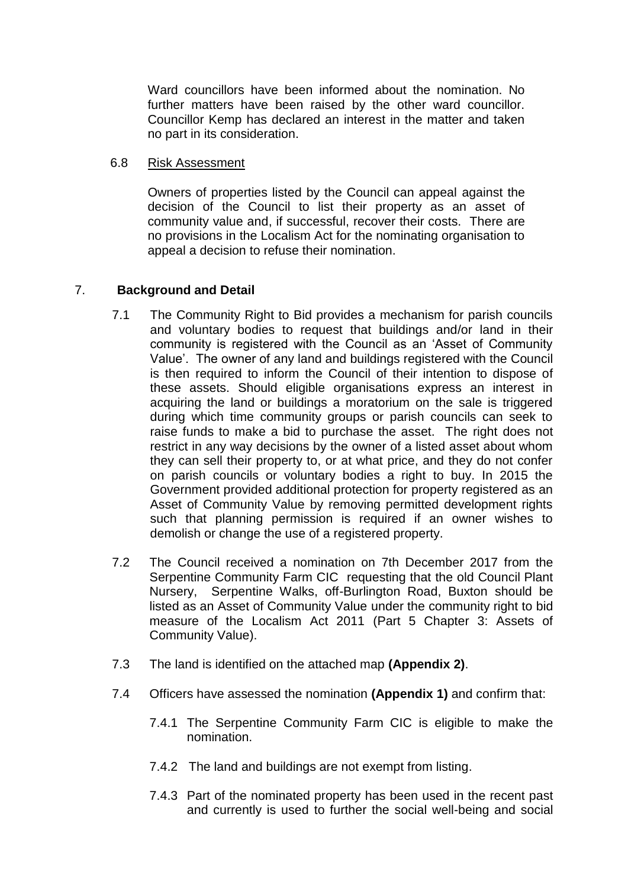Ward councillors have been informed about the nomination. No further matters have been raised by the other ward councillor. Councillor Kemp has declared an interest in the matter and taken no part in its consideration.

#### 6.8 Risk Assessment

Owners of properties listed by the Council can appeal against the decision of the Council to list their property as an asset of community value and, if successful, recover their costs. There are no provisions in the Localism Act for the nominating organisation to appeal a decision to refuse their nomination.

## 7. **Background and Detail**

- 7.1 The Community Right to Bid provides a mechanism for parish councils and voluntary bodies to request that buildings and/or land in their community is registered with the Council as an 'Asset of Community Value'. The owner of any land and buildings registered with the Council is then required to inform the Council of their intention to dispose of these assets. Should eligible organisations express an interest in acquiring the land or buildings a moratorium on the sale is triggered during which time community groups or parish councils can seek to raise funds to make a bid to purchase the asset. The right does not restrict in any way decisions by the owner of a listed asset about whom they can sell their property to, or at what price, and they do not confer on parish councils or voluntary bodies a right to buy. In 2015 the Government provided additional protection for property registered as an Asset of Community Value by removing permitted development rights such that planning permission is required if an owner wishes to demolish or change the use of a registered property.
- 7.2 The Council received a nomination on 7th December 2017 from the Serpentine Community Farm CIC requesting that the old Council Plant Nursery, Serpentine Walks, off-Burlington Road, Buxton should be listed as an Asset of Community Value under the community right to bid measure of the Localism Act 2011 (Part 5 Chapter 3: Assets of Community Value).
- 7.3 The land is identified on the attached map **(Appendix 2)**.
- 7.4 Officers have assessed the nomination **(Appendix 1)** and confirm that:
	- 7.4.1 The Serpentine Community Farm CIC is eligible to make the nomination.
	- 7.4.2 The land and buildings are not exempt from listing.
	- 7.4.3 Part of the nominated property has been used in the recent past and currently is used to further the social well-being and social